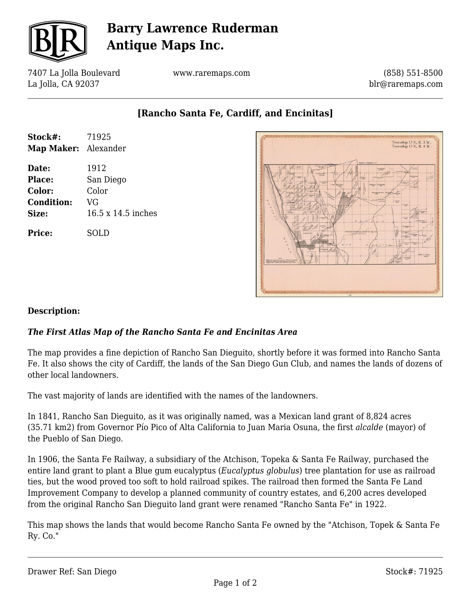

# **Barry Lawrence Ruderman Antique Maps Inc.**

7407 La Jolla Boulevard La Jolla, CA 92037

www.raremaps.com

(858) 551-8500 blr@raremaps.com

**[Rancho Santa Fe, Cardiff, and Encinitas]**

| Stock#:<br>Map Maker: Alexander | 71925              |
|---------------------------------|--------------------|
| Date:                           | 1912               |
| Place:                          | San Diego          |
| Color:                          | Color              |
| <b>Condition:</b>               | VG                 |
| Size:                           | 16.5 x 14.5 inches |
| <b>Price:</b>                   | SOLD               |



### **Description:**

### *The First Atlas Map of the Rancho Santa Fe and Encinitas Area*

The map provides a fine depiction of Rancho San Dieguito, shortly before it was formed into Rancho Santa Fe. It also shows the city of Cardiff, the lands of the San Diego Gun Club, and names the lands of dozens of other local landowners.

The vast majority of lands are identified with the names of the landowners.

In 1841, Rancho San Dieguito, as it was originally named, was a Mexican land grant of 8,824 acres (35.71 km2) from Governor Pío Pico of Alta California to Juan Maria Osuna, the first *alcalde* (mayor) of the Pueblo of San Diego.

In 1906, the Santa Fe Railway, a subsidiary of the Atchison, Topeka & Santa Fe Railway, purchased the entire land grant to plant a Blue gum eucalyptus (*Eucalyptus globulus*) tree plantation for use as railroad ties, but the wood proved too soft to hold railroad spikes. The railroad then formed the Santa Fe Land Improvement Company to develop a planned community of country estates, and 6,200 acres developed from the original Rancho San Dieguito land grant were renamed "Rancho Santa Fe" in 1922.

This map shows the lands that would become Rancho Santa Fe owned by the "Atchison, Topek & Santa Fe Ry. Co."